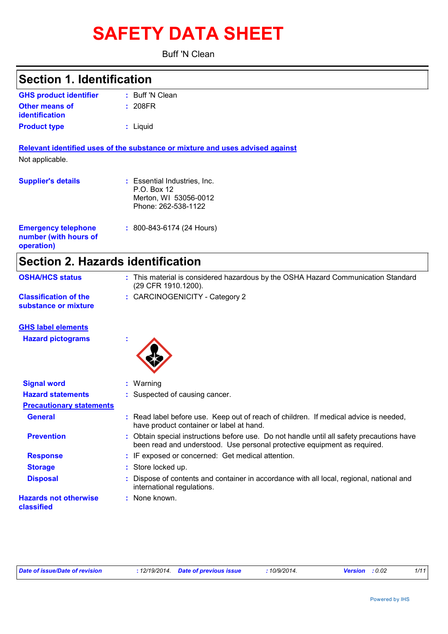# **SAFETY DATA SHEET**

Buff 'N Clean

| <b>Section 1. Identification</b>                    |                                                                                             |  |  |
|-----------------------------------------------------|---------------------------------------------------------------------------------------------|--|--|
| <b>GHS product identifier</b>                       | : Buff 'N Clean                                                                             |  |  |
| Other means of<br><b>identification</b>             | : 208FR                                                                                     |  |  |
| <b>Product type</b>                                 | : Liquid                                                                                    |  |  |
|                                                     | Relevant identified uses of the substance or mixture and uses advised against               |  |  |
| Not applicable.                                     |                                                                                             |  |  |
| <b>Supplier's details</b>                           | : Essential Industries, Inc.<br>P.O. Box 12<br>Merton, WI 53056-0012<br>Phone: 262-538-1122 |  |  |
| <b>Emergency telephone</b><br>number (with hours of | $: 800 - 843 - 6174$ (24 Hours)                                                             |  |  |

|  | <b>Section 2. Hazards identification</b> |
|--|------------------------------------------|
|  |                                          |

| <b>OSHA/HCS status</b>                               | : This material is considered hazardous by the OSHA Hazard Communication Standard<br>(29 CFR 1910.1200). |
|------------------------------------------------------|----------------------------------------------------------------------------------------------------------|
| <b>Classification of the</b><br>substance or mixture | : CARCINOGENICITY - Category 2                                                                           |

## **GHS label elements**

**operation)**

**Hazard pictograms :**



| <b>Signal word</b>                         | $:$ Warning                                                                                                                                                           |
|--------------------------------------------|-----------------------------------------------------------------------------------------------------------------------------------------------------------------------|
| <b>Hazard statements</b>                   | : Suspected of causing cancer.                                                                                                                                        |
| <b>Precautionary statements</b>            |                                                                                                                                                                       |
| <b>General</b>                             | : Read label before use. Keep out of reach of children. If medical advice is needed,<br>have product container or label at hand.                                      |
| <b>Prevention</b>                          | : Obtain special instructions before use. Do not handle until all safety precautions have<br>been read and understood. Use personal protective equipment as required. |
| <b>Response</b>                            | : IF exposed or concerned: Get medical attention.                                                                                                                     |
| <b>Storage</b>                             | : Store locked up.                                                                                                                                                    |
| <b>Disposal</b>                            | : Dispose of contents and container in accordance with all local, regional, national and<br>international regulations.                                                |
| <b>Hazards not otherwise</b><br>classified | : None known.                                                                                                                                                         |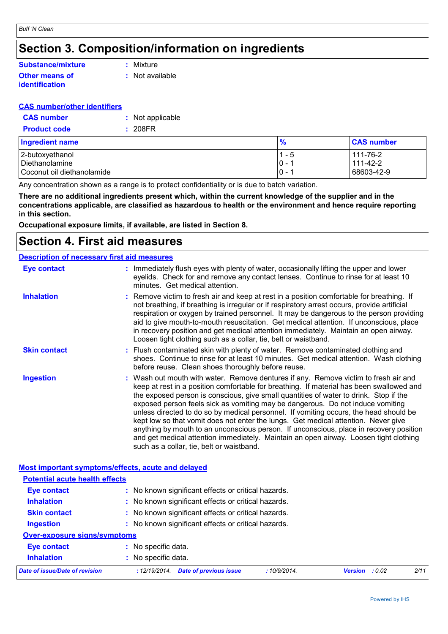# **Section 3. Composition/information on ingredients**

#### **Other means of identification Substance/mixture**

**:** Mixture

**:** Not available

### **CAS number/other identifiers**

| <b>CAS</b> number   | : Not applicable |
|---------------------|------------------|
| <b>Product code</b> | : 208FR          |

| <b>Ingredient name</b>     | %       | <b>CAS number</b> |
|----------------------------|---------|-------------------|
| 2-butoxyethanol            | $1 - 5$ | 111-76-2          |
| Diethanolamine             | $0 - 1$ | 111-42-2          |
| Coconut oil diethanolamide | $0 - 1$ | 68603-42-9        |

Any concentration shown as a range is to protect confidentiality or is due to batch variation.

**There are no additional ingredients present which, within the current knowledge of the supplier and in the concentrations applicable, are classified as hazardous to health or the environment and hence require reporting in this section.**

**Occupational exposure limits, if available, are listed in Section 8.**

# **Section 4. First aid measures**

#### Wash out mouth with water. Remove dentures if any. Remove victim to fresh air and keep at rest in a position comfortable for breathing. If material has been swallowed and the exposed person is conscious, give small quantities of water to drink. Stop if the exposed person feels sick as vomiting may be dangerous. Do not induce vomiting unless directed to do so by medical personnel. If vomiting occurs, the head should be kept low so that vomit does not enter the lungs. Get medical attention. Never give anything by mouth to an unconscious person. If unconscious, place in recovery position and get medical attention immediately. Maintain an open airway. Loosen tight clothing such as a collar, tie, belt or waistband. **:** Immediately flush eyes with plenty of water, occasionally lifting the upper and lower eyelids. Check for and remove any contact lenses. Continue to rinse for at least 10 minutes. Get medical attention. Flush contaminated skin with plenty of water. Remove contaminated clothing and **:** shoes. Continue to rinse for at least 10 minutes. Get medical attention. Wash clothing before reuse. Clean shoes thoroughly before reuse. Remove victim to fresh air and keep at rest in a position comfortable for breathing. If **:** not breathing, if breathing is irregular or if respiratory arrest occurs, provide artificial respiration or oxygen by trained personnel. It may be dangerous to the person providing aid to give mouth-to-mouth resuscitation. Get medical attention. If unconscious, place in recovery position and get medical attention immediately. Maintain an open airway. Loosen tight clothing such as a collar, tie, belt or waistband. **Eye contact Skin contact Inhalation Ingestion : Description of necessary first aid measures**

|                                       | Most important symptoms/effects, acute and delayed            |                |      |  |
|---------------------------------------|---------------------------------------------------------------|----------------|------|--|
| <b>Potential acute health effects</b> |                                                               |                |      |  |
| <b>Eye contact</b>                    | : No known significant effects or critical hazards.           |                |      |  |
| <b>Inhalation</b>                     | : No known significant effects or critical hazards.           |                |      |  |
| <b>Skin contact</b>                   | : No known significant effects or critical hazards.           |                |      |  |
| <b>Ingestion</b>                      | : No known significant effects or critical hazards.           |                |      |  |
| <b>Over-exposure signs/symptoms</b>   |                                                               |                |      |  |
| Eye contact                           | : No specific data.                                           |                |      |  |
| <b>Inhalation</b>                     | : No specific data.                                           |                |      |  |
| <b>Date of issue/Date of revision</b> | <b>Date of previous issue</b><br>:10/9/2014.<br>: 12/19/2014. | Version : 0.02 | 2/11 |  |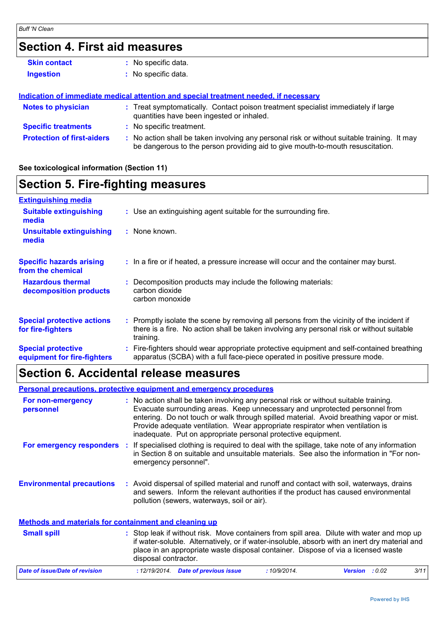# **Section 4. First aid measures**

| <b>Skin contact</b>               | No specific data.                                                                                                                                                             |
|-----------------------------------|-------------------------------------------------------------------------------------------------------------------------------------------------------------------------------|
| <b>Ingestion</b>                  | : No specific data.                                                                                                                                                           |
|                                   | Indication of immediate medical attention and special treatment needed, if necessary                                                                                          |
| <b>Notes to physician</b>         | : Treat symptomatically. Contact poison treatment specialist immediately if large<br>quantities have been ingested or inhaled.                                                |
| <b>Specific treatments</b>        | : No specific treatment.                                                                                                                                                      |
| <b>Protection of first-aiders</b> | : No action shall be taken involving any personal risk or without suitable training. It may<br>be dangerous to the person providing aid to give mouth-to-mouth resuscitation. |

## **See toxicological information (Section 11)**

# **Section 5. Fire-fighting measures**

| <b>Extinguishing media</b>                               |                                                                                                                                                                                                     |
|----------------------------------------------------------|-----------------------------------------------------------------------------------------------------------------------------------------------------------------------------------------------------|
| <b>Suitable extinguishing</b><br>media                   | : Use an extinguishing agent suitable for the surrounding fire.                                                                                                                                     |
| <b>Unsuitable extinguishing</b><br>media                 | : None known.                                                                                                                                                                                       |
| <b>Specific hazards arising</b><br>from the chemical     | : In a fire or if heated, a pressure increase will occur and the container may burst.                                                                                                               |
| <b>Hazardous thermal</b><br>decomposition products       | Decomposition products may include the following materials:<br>carbon dioxide<br>carbon monoxide                                                                                                    |
| <b>Special protective actions</b><br>for fire-fighters   | : Promptly isolate the scene by removing all persons from the vicinity of the incident if<br>there is a fire. No action shall be taken involving any personal risk or without suitable<br>training. |
| <b>Special protective</b><br>equipment for fire-fighters | Fire-fighters should wear appropriate protective equipment and self-contained breathing<br>apparatus (SCBA) with a full face-piece operated in positive pressure mode.                              |

# **Section 6. Accidental release measures**

**Environmental precautions Personal precautions, protective equipment and emergency procedures :** Avoid dispersal of spilled material and runoff and contact with soil, waterways, drains **:** No action shall be taken involving any personal risk or without suitable training. Evacuate surrounding areas. Keep unnecessary and unprotected personnel from entering. Do not touch or walk through spilled material. Avoid breathing vapor or mist. Provide adequate ventilation. Wear appropriate respirator when ventilation is inadequate. Put on appropriate personal protective equipment. and sewers. Inform the relevant authorities if the product has caused environmental pollution (sewers, waterways, soil or air). : Stop leak if without risk. Move containers from spill area. Dilute with water and mop up if water-soluble. Alternatively, or if water-insoluble, absorb with an inert dry material and place in an appropriate waste disposal container. Dispose of via a licensed waste disposal contractor. **Small spill : Methods and materials for containment and cleaning up For non-emergency personnel For emergency responders :** If specialised clothing is required to deal with the spillage, take note of any information in Section 8 on suitable and unsuitable materials. See also the information in "For nonemergency personnel". *Date of issue/Date of revision* **:** *12/19/2014. Date of previous issue : 10/9/2014. Version : 0.02 3/11*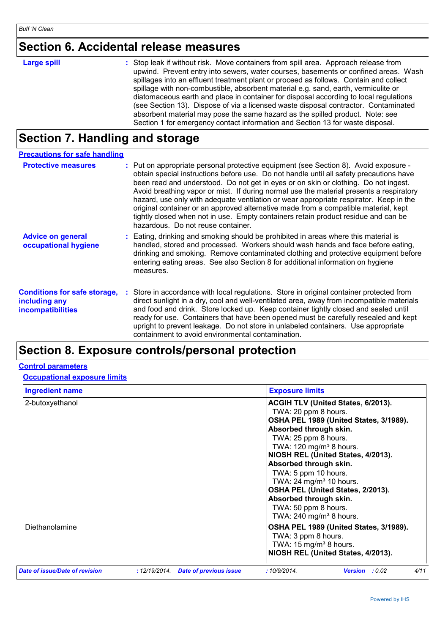# **Section 6. Accidental release measures**

| <b>Large spill</b> | : Stop leak if without risk. Move containers from spill area. Approach release from<br>upwind. Prevent entry into sewers, water courses, basements or confined areas. Wash<br>spillages into an effluent treatment plant or proceed as follows. Contain and collect<br>spillage with non-combustible, absorbent material e.g. sand, earth, vermiculite or<br>diatomaceous earth and place in container for disposal according to local regulations<br>(see Section 13). Dispose of via a licensed waste disposal contractor. Contaminated |
|--------------------|-------------------------------------------------------------------------------------------------------------------------------------------------------------------------------------------------------------------------------------------------------------------------------------------------------------------------------------------------------------------------------------------------------------------------------------------------------------------------------------------------------------------------------------------|
|                    | absorbent material may pose the same hazard as the spilled product. Note: see<br>Section 1 for emergency contact information and Section 13 for waste disposal.                                                                                                                                                                                                                                                                                                                                                                           |

# **Section 7. Handling and storage**

| <b>Precautions for safe handling</b>                                             |                                                                                                                                                                                                                                                                                                                                                                                                                                                                                                                                                                                                                                                                                |
|----------------------------------------------------------------------------------|--------------------------------------------------------------------------------------------------------------------------------------------------------------------------------------------------------------------------------------------------------------------------------------------------------------------------------------------------------------------------------------------------------------------------------------------------------------------------------------------------------------------------------------------------------------------------------------------------------------------------------------------------------------------------------|
| <b>Protective measures</b>                                                       | : Put on appropriate personal protective equipment (see Section 8). Avoid exposure -<br>obtain special instructions before use. Do not handle until all safety precautions have<br>been read and understood. Do not get in eyes or on skin or clothing. Do not ingest.<br>Avoid breathing vapor or mist. If during normal use the material presents a respiratory<br>hazard, use only with adequate ventilation or wear appropriate respirator. Keep in the<br>original container or an approved alternative made from a compatible material, kept<br>tightly closed when not in use. Empty containers retain product residue and can be<br>hazardous. Do not reuse container. |
| <b>Advice on general</b><br>occupational hygiene                                 | : Eating, drinking and smoking should be prohibited in areas where this material is<br>handled, stored and processed. Workers should wash hands and face before eating,<br>drinking and smoking. Remove contaminated clothing and protective equipment before<br>entering eating areas. See also Section 8 for additional information on hygiene<br>measures.                                                                                                                                                                                                                                                                                                                  |
| <b>Conditions for safe storage,</b><br>including any<br><b>incompatibilities</b> | Store in accordance with local regulations. Store in original container protected from<br>direct sunlight in a dry, cool and well-ventilated area, away from incompatible materials<br>and food and drink. Store locked up. Keep container tightly closed and sealed until<br>ready for use. Containers that have been opened must be carefully resealed and kept<br>upright to prevent leakage. Do not store in unlabeled containers. Use appropriate<br>containment to avoid environmental contamination.                                                                                                                                                                    |

# **Section 8. Exposure controls/personal protection**

## **Control parameters**

## **Occupational exposure limits**

| <b>Ingredient name</b>         |              |                               | <b>Exposure limits</b>                                                                                                                                                                                                                                                                                                                                                                                                                                       |
|--------------------------------|--------------|-------------------------------|--------------------------------------------------------------------------------------------------------------------------------------------------------------------------------------------------------------------------------------------------------------------------------------------------------------------------------------------------------------------------------------------------------------------------------------------------------------|
| 2-butoxyethanol                |              |                               | ACGIH TLV (United States, 6/2013).<br>TWA: 20 ppm 8 hours.<br>OSHA PEL 1989 (United States, 3/1989).<br>Absorbed through skin.<br>TWA: 25 ppm 8 hours.<br>TWA: 120 mg/m <sup>3</sup> 8 hours.<br>NIOSH REL (United States, 4/2013).<br>Absorbed through skin.<br>TWA: 5 ppm 10 hours.<br>TWA: 24 mg/m <sup>3</sup> 10 hours.<br>OSHA PEL (United States, 2/2013).<br>Absorbed through skin.<br>TWA: 50 ppm 8 hours.<br>TWA: $240$ mg/m <sup>3</sup> 8 hours. |
| Diethanolamine                 |              |                               | OSHA PEL 1989 (United States, 3/1989).<br>TWA: 3 ppm 8 hours.<br>TWA: $15 \text{ mg/m}^3$ 8 hours.<br>NIOSH REL (United States, 4/2013).                                                                                                                                                                                                                                                                                                                     |
| Date of issue/Date of revision | :12/19/2014. | <b>Date of previous issue</b> | 4/11<br>:10/9/2014.<br>: 0.02<br><b>Version</b>                                                                                                                                                                                                                                                                                                                                                                                                              |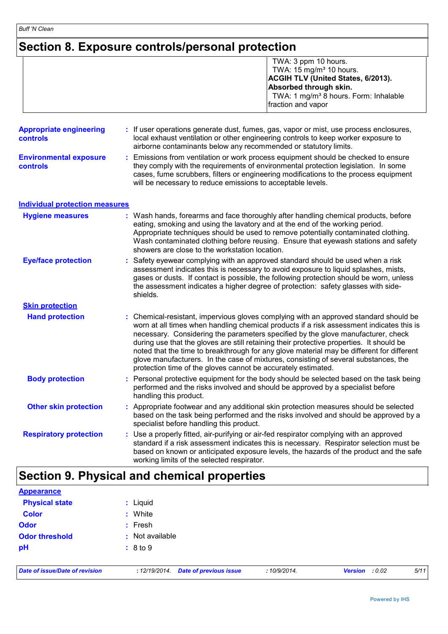# **Section 8. Exposure controls/personal protection**

|                                            | TWA: 3 ppm 10 hours.<br>TWA: 15 mg/m <sup>3</sup> 10 hours.<br>ACGIH TLV (United States, 6/2013).<br>Absorbed through skin.<br>TWA: 1 mg/m <sup>3</sup> 8 hours. Form: Inhalable<br>fraction and vapor                                                                                                                                                                                                                                                                                                                                                                                                                 |  |
|--------------------------------------------|------------------------------------------------------------------------------------------------------------------------------------------------------------------------------------------------------------------------------------------------------------------------------------------------------------------------------------------------------------------------------------------------------------------------------------------------------------------------------------------------------------------------------------------------------------------------------------------------------------------------|--|
| <b>Appropriate engineering</b><br>controls | : If user operations generate dust, fumes, gas, vapor or mist, use process enclosures,<br>local exhaust ventilation or other engineering controls to keep worker exposure to<br>airborne contaminants below any recommended or statutory limits.                                                                                                                                                                                                                                                                                                                                                                       |  |
| <b>Environmental exposure</b><br>controls  | Emissions from ventilation or work process equipment should be checked to ensure<br>they comply with the requirements of environmental protection legislation. In some<br>cases, fume scrubbers, filters or engineering modifications to the process equipment<br>will be necessary to reduce emissions to acceptable levels.                                                                                                                                                                                                                                                                                          |  |
| <b>Individual protection measures</b>      |                                                                                                                                                                                                                                                                                                                                                                                                                                                                                                                                                                                                                        |  |
| <b>Hygiene measures</b>                    | : Wash hands, forearms and face thoroughly after handling chemical products, before<br>eating, smoking and using the lavatory and at the end of the working period.<br>Appropriate techniques should be used to remove potentially contaminated clothing.<br>Wash contaminated clothing before reusing. Ensure that eyewash stations and safety<br>showers are close to the workstation location.                                                                                                                                                                                                                      |  |
| <b>Eye/face protection</b>                 | Safety eyewear complying with an approved standard should be used when a risk<br>assessment indicates this is necessary to avoid exposure to liquid splashes, mists,<br>gases or dusts. If contact is possible, the following protection should be worn, unless<br>the assessment indicates a higher degree of protection: safety glasses with side-<br>shields.                                                                                                                                                                                                                                                       |  |
| <b>Skin protection</b>                     |                                                                                                                                                                                                                                                                                                                                                                                                                                                                                                                                                                                                                        |  |
| <b>Hand protection</b>                     | : Chemical-resistant, impervious gloves complying with an approved standard should be<br>worn at all times when handling chemical products if a risk assessment indicates this is<br>necessary. Considering the parameters specified by the glove manufacturer, check<br>during use that the gloves are still retaining their protective properties. It should be<br>noted that the time to breakthrough for any glove material may be different for different<br>glove manufacturers. In the case of mixtures, consisting of several substances, the<br>protection time of the gloves cannot be accurately estimated. |  |
| <b>Body protection</b>                     | Personal protective equipment for the body should be selected based on the task being<br>÷.<br>performed and the risks involved and should be approved by a specialist before<br>handling this product.                                                                                                                                                                                                                                                                                                                                                                                                                |  |
| <b>Other skin protection</b>               | Appropriate footwear and any additional skin protection measures should be selected<br>based on the task being performed and the risks involved and should be approved by a<br>specialist before handling this product.                                                                                                                                                                                                                                                                                                                                                                                                |  |
| <b>Respiratory protection</b>              | Use a properly fitted, air-purifying or air-fed respirator complying with an approved<br>standard if a risk assessment indicates this is necessary. Respirator selection must be<br>based on known or anticipated exposure levels, the hazards of the product and the safe<br>working limits of the selected respirator.                                                                                                                                                                                                                                                                                               |  |

| <b>Appearance</b>     |                 |
|-----------------------|-----------------|
| <b>Physical state</b> | : Liquid        |
| <b>Color</b>          | : White         |
| Odor                  | $:$ Fresh       |
| <b>Odor threshold</b> | : Not available |
| pH                    | : 8 to 9        |
|                       |                 |

*Date of issue/Date of revision* **:** *12/19/2014. Date of previous issue : 10/9/2014. Version : 0.02 5/11*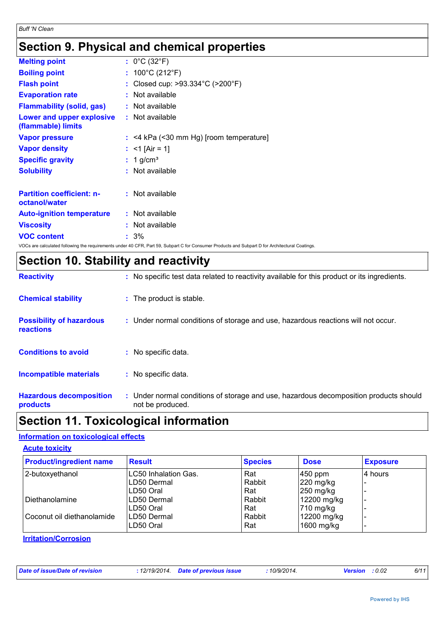# **Section 9. Physical and chemical properties**

| <b>Melting point</b>                                   | : $0^{\circ}$ C (32 $^{\circ}$ F)                   |
|--------------------------------------------------------|-----------------------------------------------------|
| <b>Boiling point</b>                                   | : $100^{\circ}$ C (212 $^{\circ}$ F)                |
| <b>Flash point</b>                                     | Closed cup: $>93.334^{\circ}$ C ( $>200^{\circ}$ F) |
| <b>Evaporation rate</b>                                | : Not available                                     |
| <b>Flammability (solid, gas)</b>                       | $:$ Not available                                   |
| <b>Lower and upper explosive</b><br>(flammable) limits | : Not available                                     |
| <b>Vapor pressure</b>                                  | $:$ <4 kPa (<30 mm Hg) [room temperature]           |
| <b>Vapor density</b>                                   | : $<$ 1 [Air = 1]                                   |
| <b>Specific gravity</b>                                | $: 1$ g/cm <sup>3</sup>                             |
| <b>Solubility</b>                                      | : Not available                                     |
| <b>Partition coefficient: n-</b><br>octanol/water      | $:$ Not available                                   |
| <b>Auto-ignition temperature</b>                       | : Not available                                     |
| <b>Viscosity</b>                                       | Not available                                       |
| <b>VOC content</b>                                     | $:3\%$                                              |
|                                                        | $\frac{1}{2}$                                       |

VOCs are calculated following the requirements under 40 CFR, Part 59, Subpart C for Consumer Products and Subpart D for Architectural Coatings.

| <b>Section 10. Stability and reactivity</b> |  |  |
|---------------------------------------------|--|--|
|---------------------------------------------|--|--|

| <b>Reactivity</b>                                   | : No specific test data related to reactivity available for this product or its ingredients.              |
|-----------------------------------------------------|-----------------------------------------------------------------------------------------------------------|
| <b>Chemical stability</b>                           | : The product is stable.                                                                                  |
| <b>Possibility of hazardous</b><br><b>reactions</b> | : Under normal conditions of storage and use, hazardous reactions will not occur.                         |
| <b>Conditions to avoid</b>                          | : No specific data.                                                                                       |
| <b>Incompatible materials</b>                       | : No specific data.                                                                                       |
| <b>Hazardous decomposition</b><br><b>products</b>   | : Under normal conditions of storage and use, hazardous decomposition products should<br>not be produced. |

# **Section 11. Toxicological information**

# **Information on toxicological effects**

| <b>Product/ingredient name</b> | <b>Result</b>               | <b>Species</b> | <b>Dose</b> | <b>Exposure</b> |
|--------------------------------|-----------------------------|----------------|-------------|-----------------|
| 2-butoxyethanol                | <b>LC50 Inhalation Gas.</b> | Rat            | $450$ ppm   | 4 hours         |
|                                | LD50 Dermal                 | Rabbit         | $220$ mg/kg |                 |
|                                | LD50 Oral                   | Rat            | $250$ mg/kg |                 |
| l Diethanolamine               | LD50 Dermal                 | Rabbit         | 12200 mg/kg |                 |
|                                | LD50 Oral                   | Rat            | 710 mg/kg   |                 |
| Coconut oil diethanolamide     | LD50 Dermal                 | Rabbit         | 12200 mg/kg |                 |
|                                | LD50 Oral                   | Rat            | 1600 mg/kg  |                 |

**Irritation/Corrosion**

| Date of issue/Date of revision<br>.12/19/2014 | <b>Date of previous issue</b><br>10/9/2014<br>: 0.02<br><b>Version</b> | 6/11 |
|-----------------------------------------------|------------------------------------------------------------------------|------|
|-----------------------------------------------|------------------------------------------------------------------------|------|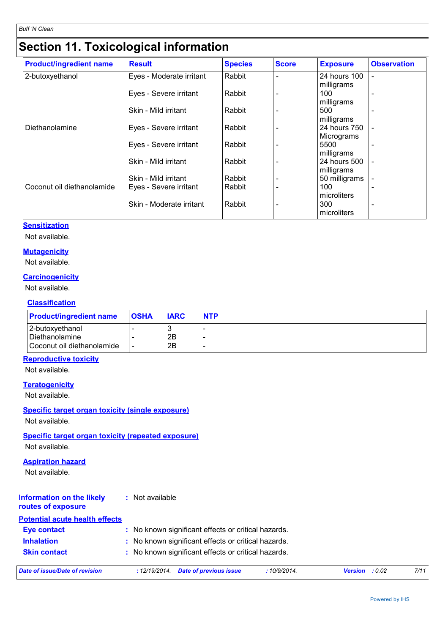# **Section 11. Toxicological information**

| <b>Product/ingredient name</b> | <b>Result</b>            | <b>Species</b> | <b>Score</b> | <b>Exposure</b>             | <b>Observation</b>       |
|--------------------------------|--------------------------|----------------|--------------|-----------------------------|--------------------------|
| 2-butoxyethanol                | Eyes - Moderate irritant | Rabbit         |              | 24 hours 100                | $\blacksquare$           |
|                                |                          |                |              | milligrams                  |                          |
|                                | Eyes - Severe irritant   | Rabbit         |              | 100                         | $\blacksquare$           |
|                                |                          |                |              | milligrams                  |                          |
|                                | Skin - Mild irritant     | Rabbit         |              | 500                         |                          |
|                                |                          |                |              | milligrams                  |                          |
| Diethanolamine                 | Eyes - Severe irritant   | Rabbit         |              | 24 hours 750                |                          |
|                                |                          |                |              | Micrograms                  |                          |
|                                | Eyes - Severe irritant   | Rabbit         |              | 5500                        |                          |
|                                |                          |                |              | milligrams                  |                          |
|                                | Skin - Mild irritant     | Rabbit         |              | 24 hours 500                |                          |
|                                | Skin - Mild irritant     | Rabbit         |              | milligrams<br>50 milligrams |                          |
| Coconut oil diethanolamide     | Eyes - Severe irritant   | Rabbit         |              | 100                         | $\overline{\phantom{0}}$ |
|                                |                          |                |              | microliters                 |                          |
|                                | Skin - Moderate irritant | Rabbit         |              | 300                         |                          |
|                                |                          |                |              | microliters                 |                          |

## **Sensitization**

Not available.

## **Mutagenicity**

Not available.

## **Carcinogenicity**

Not available.

## **Classification**

| <b>Product/ingredient name</b>    | <b>OSHA</b> | <b>IARC</b> | <b>NTP</b> |
|-----------------------------------|-------------|-------------|------------|
| 2-butoxyethanol<br>Diethanolamine |             | 2B          |            |
| Coconut oil diethanolamide        |             | 2B          |            |

# **Reproductive toxicity**

Not available.

### **Teratogenicity**

Not available.

## **Specific target organ toxicity (single exposure)**

Not available.

# **Specific target organ toxicity (repeated exposure)**

Not available.

# **Aspiration hazard**

Not available.

#### **Information on the likely routes of exposure :** Not available

# **Potential acute health effects**

| <b>Eye contact</b>  | : No known significant effects or critical hazards. |
|---------------------|-----------------------------------------------------|
| <b>Inhalation</b>   | : No known significant effects or critical hazards. |
| <b>Skin contact</b> | : No known significant effects or critical hazards. |

*Date of issue/Date of revision* **:** *12/19/2014. Date of previous issue : 10/9/2014. Version : 0.02 7/11*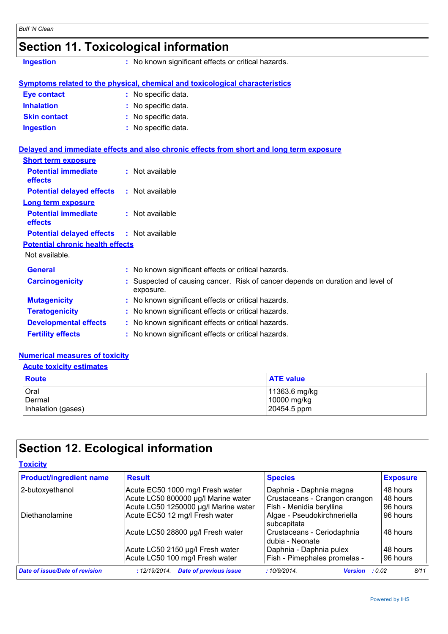# **Section 11. Toxicological information**

**Ingestion :** No known significant effects or critical hazards.

|  | <u>Symptoms related to the physical, chemical and toxicological characteristics</u> |  |
|--|-------------------------------------------------------------------------------------|--|
|  |                                                                                     |  |

| : No specific data. |
|---------------------|
| : No specific data. |
| : No specific data. |
| : No specific data. |
|                     |

## **Delayed and immediate effects and also chronic effects from short and long term exposure**

| <b>Short term exposure</b>                       |                 |
|--------------------------------------------------|-----------------|
| <b>Potential immediate</b><br>effects            | : Not available |
| <b>Potential delayed effects</b>                 | : Not available |
| Long term exposure                               |                 |
| <b>Potential immediate</b><br>effects            | : Not available |
| <b>Potential delayed effects : Not available</b> |                 |
| <b>Potential chronic health effects</b>          |                 |
| Not available.                                   |                 |

| <b>General</b>               | : No known significant effects or critical hazards.                                         |
|------------------------------|---------------------------------------------------------------------------------------------|
| <b>Carcinogenicity</b>       | : Suspected of causing cancer. Risk of cancer depends on duration and level of<br>exposure. |
| <b>Mutagenicity</b>          | : No known significant effects or critical hazards.                                         |
| <b>Teratogenicity</b>        | : No known significant effects or critical hazards.                                         |
| <b>Developmental effects</b> | : No known significant effects or critical hazards.                                         |
| <b>Fertility effects</b>     | : No known significant effects or critical hazards.                                         |

# **Numerical measures of toxicity**

| <b>Acute toxicity estimates</b>  |             |  |  |  |
|----------------------------------|-------------|--|--|--|
| <b>Route</b><br><b>ATE value</b> |             |  |  |  |
| Oral<br>11363.6 mg/kg            |             |  |  |  |
| Dermal                           | 10000 mg/kg |  |  |  |
| Inhalation (gases)               | 20454.5 ppm |  |  |  |

# **Section 12. Ecological information**

| <b>Toxicity</b>                       |                                                |                                                |                 |
|---------------------------------------|------------------------------------------------|------------------------------------------------|-----------------|
| <b>Product/ingredient name</b>        | <b>Result</b>                                  | <b>Species</b>                                 | <b>Exposure</b> |
| 2-butoxyethanol                       | Acute EC50 1000 mg/l Fresh water               | Daphnia - Daphnia magna                        | 48 hours        |
|                                       | Acute LC50 800000 µg/l Marine water            | Crustaceans - Crangon crangon                  | 48 hours        |
|                                       | Acute LC50 1250000 µg/l Marine water           | Fish - Menidia beryllina                       | 96 hours        |
| Diethanolamine                        | Acute EC50 12 mg/l Fresh water                 | Algae - Pseudokirchneriella<br>subcapitata     | 96 hours        |
|                                       | Acute LC50 28800 µg/l Fresh water              | Crustaceans - Ceriodaphnia<br>Idubia - Neonate | 48 hours        |
|                                       | Acute LC50 2150 µg/l Fresh water               | Daphnia - Daphnia pulex                        | 48 hours        |
|                                       | Acute LC50 100 mg/l Fresh water                | Fish - Pimephales promelas -                   | 96 hours        |
| <b>Date of issue/Date of revision</b> | : 12/19/2014.<br><b>Date of previous issue</b> | :10/9/2014.<br><b>Version</b>                  | 8/11<br>: 0.02  |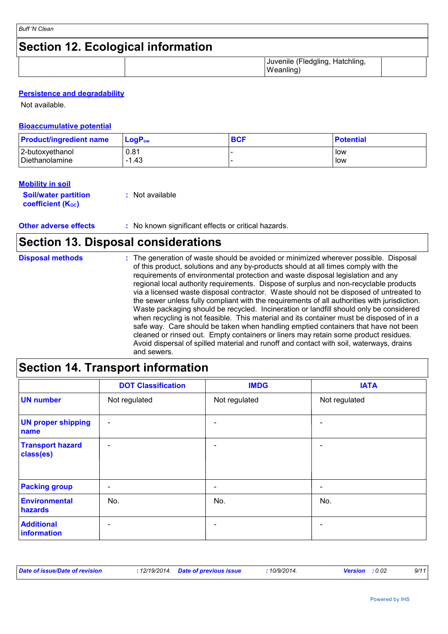# **Section 12. Ecological information**

| $\sim$ | $\cdots$<br><b>Hatchling</b><br>Juvenil<br>nlını<br>ിലെ<br>nie<br>ີ<br>$\cdot$<br><br>.۱۸۱ می<br>ոսու<br>. |  |
|--------|------------------------------------------------------------------------------------------------------------|--|
|        |                                                                                                            |  |

# **Persistence and degradability**

Not available.

### **Bioaccumulative potential**

| <b>Product/ingredient name</b> | $LoaPow$ | <b>BCF</b> | <b>Potential</b> |
|--------------------------------|----------|------------|------------------|
| 2-butoxyethanol                | 0.81     |            | low              |
| Diethanolamine                 | l.43     |            | low              |

## **Mobility in soil**

| <b>Soil/water partition</b> | : Not available |
|-----------------------------|-----------------|
| <b>coefficient (Koc)</b>    |                 |

**Other adverse effects** : No known significant effects or critical hazards.

# **Section 13. Disposal considerations**

| <b>Disposal methods</b> | : The generation of waste should be avoided or minimized wherever possible. Disposal<br>of this product, solutions and any by-products should at all times comply with the<br>requirements of environmental protection and waste disposal legislation and any<br>regional local authority requirements. Dispose of surplus and non-recyclable products<br>via a licensed waste disposal contractor. Waste should not be disposed of untreated to<br>the sewer unless fully compliant with the requirements of all authorities with jurisdiction.<br>Waste packaging should be recycled. Incineration or landfill should only be considered<br>when recycling is not feasible. This material and its container must be disposed of in a<br>safe way. Care should be taken when handling emptied containers that have not been<br>cleaned or rinsed out. Empty containers or liners may retain some product residues.<br>Avoid dispersal of spilled material and runoff and contact with soil, waterways, drains |
|-------------------------|----------------------------------------------------------------------------------------------------------------------------------------------------------------------------------------------------------------------------------------------------------------------------------------------------------------------------------------------------------------------------------------------------------------------------------------------------------------------------------------------------------------------------------------------------------------------------------------------------------------------------------------------------------------------------------------------------------------------------------------------------------------------------------------------------------------------------------------------------------------------------------------------------------------------------------------------------------------------------------------------------------------|
|                         | and sewers.                                                                                                                                                                                                                                                                                                                                                                                                                                                                                                                                                                                                                                                                                                                                                                                                                                                                                                                                                                                                    |

# **Section 14. Transport information**

|                                      | <b>DOT Classification</b> | <b>IMDG</b>              | <b>IATA</b>              |
|--------------------------------------|---------------------------|--------------------------|--------------------------|
| <b>UN number</b>                     | Not regulated             | Not regulated            | Not regulated            |
| <b>UN proper shipping</b><br>name    | $\overline{\phantom{a}}$  |                          | ۳                        |
| <b>Transport hazard</b><br>class(es) | $\overline{\phantom{a}}$  |                          | ۰                        |
| <b>Packing group</b>                 | $\overline{\phantom{a}}$  | $\overline{\phantom{0}}$ | $\overline{\phantom{a}}$ |
| <b>Environmental</b><br>hazards      | No.                       | No.                      | No.                      |
| <b>Additional</b><br>information     | $\overline{\phantom{0}}$  |                          | ۰                        |

| Date of issue/Date of revision | : 12/19/2014  Date of previous issue | 10/9/2014.<br><b>Version</b> : 0.02 |  |
|--------------------------------|--------------------------------------|-------------------------------------|--|
|--------------------------------|--------------------------------------|-------------------------------------|--|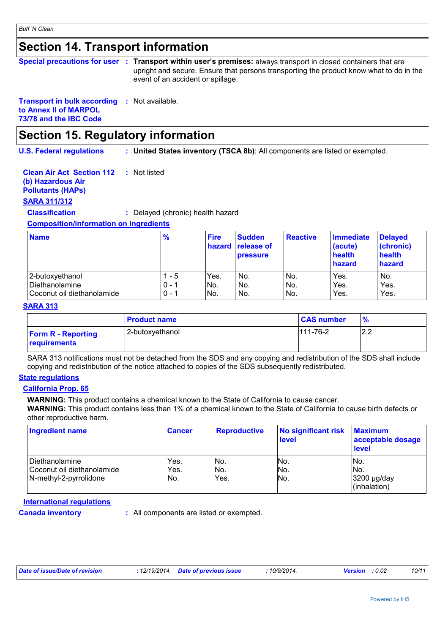# **Section 14. Transport information**

|  | Special precautions for user : Transport within user's premises: always transport in closed containers that are              |
|--|------------------------------------------------------------------------------------------------------------------------------|
|  | upright and secure. Ensure that persons transporting the product know what to do in the<br>event of an accident or spillage. |
|  |                                                                                                                              |

## **Transport in bulk according :** Not available. **to Annex II of MARPOL**

**73/78 and the IBC Code**

# **Section 15. Regulatory information**

**U.S. Federal regulations : United States inventory (TSCA 8b)**: All components are listed or exempted.

#### **Clean Air Act Section 112 :** Not listed

# **(b) Hazardous Air**

# **Pollutants (HAPs)**

# **SARA 311/312**

**Classification :** Delayed (chronic) health hazard

## **Composition/information on ingredients**

| <b>Name</b>                | $\frac{9}{6}$ | <b>Fire</b> | <b>Sudden</b><br><b>hazard</b> release of<br><b>pressure</b> | <b>Reactive</b> | <b>Immediate</b><br>(acute)<br>health<br>hazard | <b>Delayed</b><br>(chronic)<br>health<br>hazard |
|----------------------------|---------------|-------------|--------------------------------------------------------------|-----------------|-------------------------------------------------|-------------------------------------------------|
| 12-butoxvethanol           | - 5           | Yes.        | No.                                                          | IN <sub>o</sub> | Yes.                                            | No.                                             |
| Diethanolamine             | $0 - 1$       | No.         | No.                                                          | No.             | Yes.                                            | Yes.                                            |
| Coconut oil diethanolamide | $0 - 1$       | No.         | No.                                                          | No.             | Yes.                                            | Yes.                                            |

### **SARA 313**

|                                                  | <b>Product name</b> | <b>CAS number</b> | $\%$       |
|--------------------------------------------------|---------------------|-------------------|------------|
| <b>Form R - Reporting</b><br><b>requirements</b> | 2-butoxyethanol     | $111 - 76 - 2$    | ר ה<br>ے.ء |

SARA 313 notifications must not be detached from the SDS and any copying and redistribution of the SDS shall include copying and redistribution of the notice attached to copies of the SDS subsequently redistributed.

### **State regulations**

### **California Prop. 65**

**WARNING:** This product contains a chemical known to the State of California to cause cancer.

**WARNING:** This product contains less than 1% of a chemical known to the State of California to cause birth defects or other reproductive harm.

| <b>Ingredient name</b>     | <b>Cancer</b> | Reproductive | No significant risk<br><b>level</b> | <b>Maximum</b><br>acceptable dosage<br>level |
|----------------------------|---------------|--------------|-------------------------------------|----------------------------------------------|
| l Diethanolamine           | Yes.          | INo.         | No.                                 | INo.                                         |
| Coconut oil diethanolamide | Yes.          | No.          | No.                                 | No.                                          |
| N-methyl-2-pyrrolidone     | No.           | Yes.         | No.                                 | 3200 µg/day<br>(inhalation)                  |

## **International regulations**

**Canada inventory :** All components are listed or exempted.